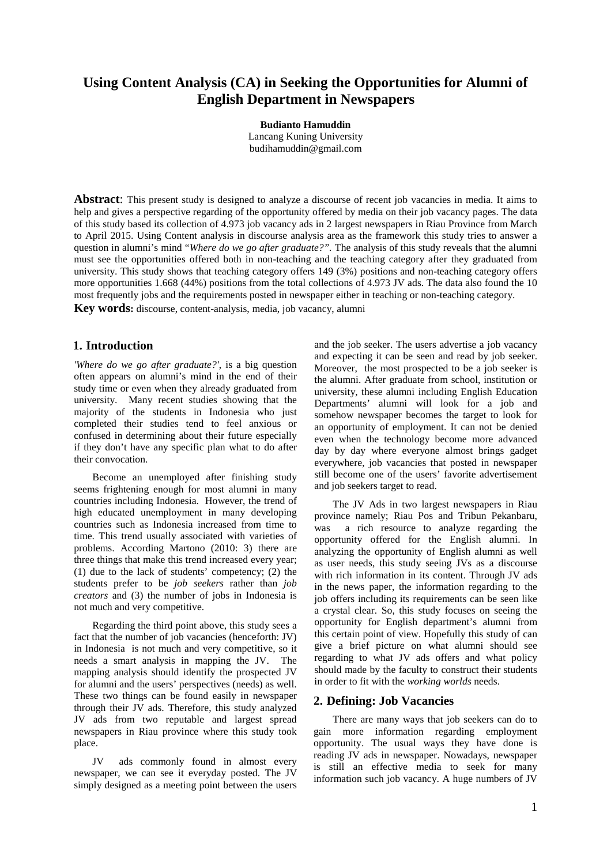# **Using Content Analysis (CA) in Seeking the Opportunities for Alumni of English Department in Newspapers**

**Budianto Hamuddin** Lancang Kuning University budihamuddin@gmail.com

**Abstract**: This present study is designed to analyze a discourse of recent job vacancies in media. It aims to help and gives a perspective regarding of the opportunity offered by media on their job vacancy pages. The data of this study based its collection of 4.973 job vacancy ads in 2 largest newspapers in Riau Province from March to April 2015. Using Content analysis in discourse analysis area as the framework this study tries to answer a question in alumni's mind "*Where do we go after graduate?".* The analysis of this study reveals that the alumni must see the opportunities offered both in non-teaching and the teaching category after they graduated from university. This study shows that teaching category offers 149 (3%) positions and non-teaching category offers more opportunities 1.668 (44%) positions from the total collections of 4.973 JV ads. The data also found the 10 most frequently jobs and the requirements posted in newspaper either in teaching or non-teaching category. **Key words:** discourse, content-analysis, media, job vacancy, alumni

## **1. Introduction**

*'Where do we go after graduate?'*, is a big question often appears on alumni's mind in the end of their study time or even when they already graduated from university. Many recent studies showing that the majority of the students in Indonesia who just completed their studies tend to feel anxious or confused in determining about their future especially if they don't have any specific plan what to do after their convocation.

Become an unemployed after finishing study seems frightening enough for most alumni in many countries including Indonesia. However, the trend of high educated unemployment in many developing countries such as Indonesia increased from time to  $\frac{1}{8}$  was time. This trend usually associated with varieties of problems. According Martono (2010: 3) there are three things that make this trend increased every year; (1) due to the lack of students' competency; (2) the students prefer to be *job seekers* rather than *job creators* and (3) the number of jobs in Indonesia is not much and very competitive.

Regarding the third point above, this study sees a fact that the number of job vacancies (henceforth: JV) in Indonesia is not much and very competitive, so it needs a smart analysis in mapping the JV. The mapping analysis should identify the prospected JV for alumni and the users' perspectives (needs) as well. These two things can be found easily in newspaper through their JV ads. Therefore, this study analyzed JV ads from two reputable and largest spread newspapers in Riau province where this study took place.

JV ads commonly found in almost every newspaper, we can see it everyday posted. The JV simply designed as a meeting point between the users and the job seeker. The users advertise a job vacancy and expecting it can be seen and read by job seeker. Moreover, the most prospected to be a job seeker is the alumni. After graduate from school, institution or university, these alumni including English Education Departments' alumni will look for a job and somehow newspaper becomes the target to look for an opportunity of employment. It can not be denied even when the technology become more advanced day by day where everyone almost brings gadget everywhere, job vacancies that posted in newspaper still become one of the users' favorite advertisement and job seekers target to read.

The JV Ads in two largest newspapers in Riau province namely; Riau Pos and Tribun Pekanbaru, a rich resource to analyze regarding the opportunity offered for the English alumni. In analyzing the opportunity of English alumni as well as user needs, this study seeing JVs as a discourse with rich information in its content. Through JV ads in the news paper, the information regarding to the job offers including its requirements can be seen like a crystal clear. So, this study focuses on seeing the opportunity for English department's alumni from this certain point of view. Hopefully this study of can give a brief picture on what alumni should see regarding to what JV ads offers and what policy should made by the faculty to construct their students in order to fit with the *working worlds* needs.

#### **2. Defining: Job Vacancies**

There are many ways that job seekers can do to gain more information regarding employment opportunity. The usual ways they have done is reading JV ads in newspaper. Nowadays, newspaper is still an effective media to seek for many information such job vacancy. A huge numbers of JV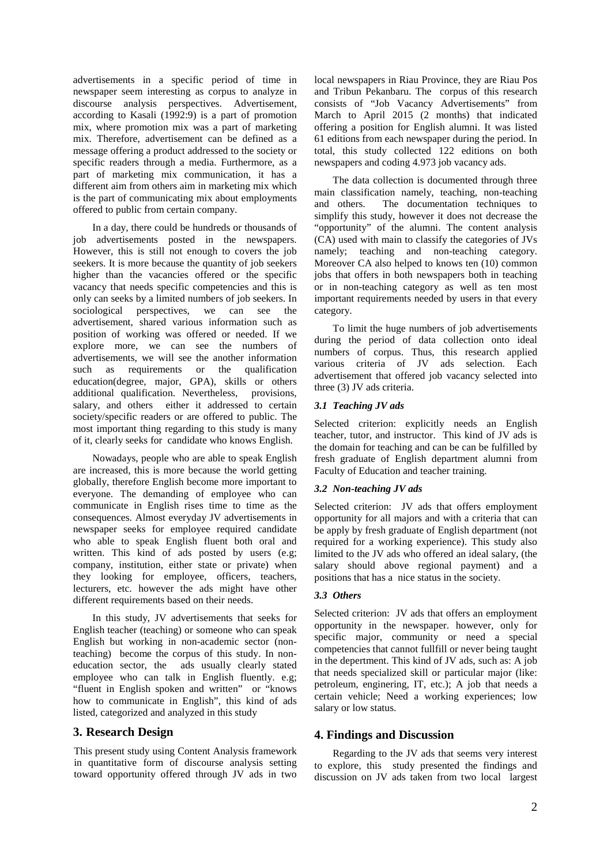advertisements in a specific period of time in newspaper seem interesting as corpus to analyze in discourse analysis perspectives. Advertisement, according to Kasali (1992:9) is a part of promotion mix, where promotion mix was a part of marketing mix. Therefore, advertisement can be defined as a message offering a product addressed to the society or specific readers through a media. Furthermore, as a part of marketing mix communication, it has a different aim from others aim in marketing mix which is the part of communicating mix about employments offered to public from certain company.

In a day, there could be hundreds or thousands of job advertisements posted in the newspapers. However, this is still not enough to covers the job seekers. It is more because the quantity of job seekers higher than the vacancies offered or the specific vacancy that needs specific competencies and this is only can seeks by a limited numbers of job seekers. In sociological perspectives, we can see the advertisement, shared various information such as position of working was offered or needed. If we explore more, we can see the numbers of advertisements, we will see the another information such as requirements or the qualification education(degree, major, GPA), skills or others additional qualification. Nevertheless, provisions, salary, and others either it addressed to certain society/specific readers or are offered to public. The most important thing regarding to this study is many of it, clearly seeks for candidate who knows English.

Nowadays, people who are able to speak English are increased, this is more because the world getting globally, therefore English become more important to everyone. The demanding of employee who can communicate in English rises time to time as the consequences. Almost everyday JV advertisements in newspaper seeks for employee required candidate who able to speak English fluent both oral and written. This kind of ads posted by users (e.g; company, institution, either state or private) when they looking for employee, officers, teachers, lecturers, etc. however the ads might have other different requirements based on their needs.

In this study, JV advertisements that seeks for English teacher (teaching) or someone who can speak English but working in non-academic sector (nonteaching) become the corpus of this study. In noneducation sector, the ads usually clearly stated employee who can talk in English fluently. e.g; "fluent in English spoken and written" or "knows how to communicate in English", this kind of ads listed, categorized and analyzed in this study

## **3. Research Design**

This present study using Content Analysis framework in quantitative form of discourse analysis setting toward opportunity offered through JV ads in two

local newspapers in Riau Province, they are Riau Pos and Tribun Pekanbaru. The corpus of this research consists of "Job Vacancy Advertisements" from March to April 2015 (2 months) that indicated offering a position for English alumni. It was listed 61 editions from each newspaper during the period. In total, this study collected 122 editions on both newspapers and coding 4.973 job vacancy ads.

The data collection is documented through three main classification namely, teaching, non-teaching and others. The documentation techniques to simplify this study, however it does not decrease the "opportunity" of the alumni. The content analysis (CA) used with main to classify the categories of JVs namely; teaching and non-teaching category. Moreover CA also helped to knows ten (10) common jobs that offers in both newspapers both in teaching or in non-teaching category as well as ten most important requirements needed by users in that every category.

To limit the huge numbers of job advertisements during the period of data collection onto ideal numbers of corpus. Thus, this research applied various criteria of JV ads selection. Each advertisement that offered job vacancy selected into three (3) JV ads criteria.

## *3.1 Teaching JV ads*

Selected criterion: explicitly needs an English teacher, tutor, and instructor. This kind of JV ads is the domain for teaching and can be can be fulfilled by fresh graduate of English department alumni from Faculty of Education and teacher training.

## *3.2 Non-teaching JV ads*

Selected criterion: JV ads that offers employment opportunity for all majors and with a criteria that can be apply by fresh graduate of English department (not required for a working experience). This study also limited to the JV ads who offered an ideal salary, (the salary should above regional payment) and a positions that has a nice status in the society.

## *3.3 Others*

Selected criterion: JV ads that offers an employment opportunity in the newspaper. however, only for specific major, community or need a special competencies that cannot fullfill or never being taught in the depertment. This kind of JV ads, such as: A job that needs specialized skill or particular major (like: petroleum, enginering, IT, etc.); A job that needs a certain vehicle; Need a working experiences; low salary or low status.

## **4. Findings and Discussion**

Regarding to the JV ads that seems very interest to explore, this study presented the findings and discussion on JV ads taken from two local largest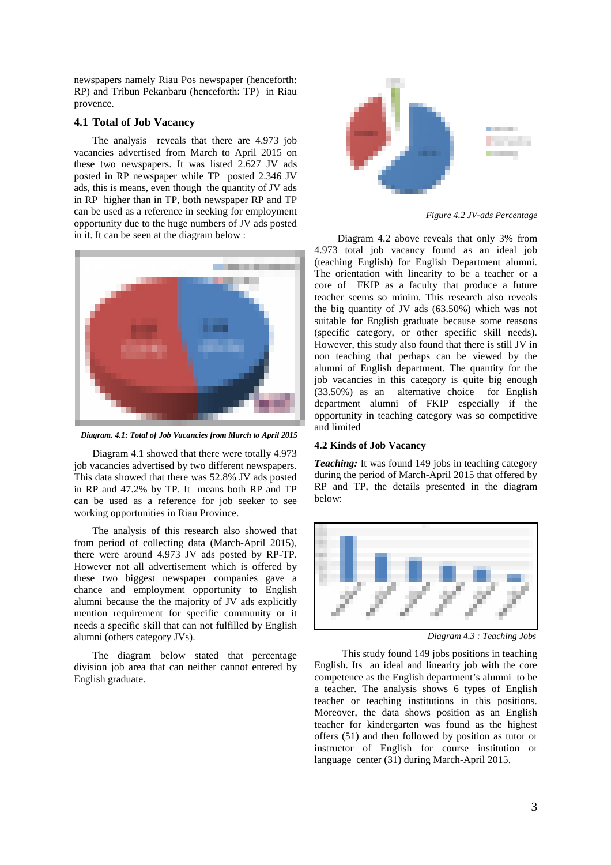newspapers namely Riau Pos newspaper (henceforth: RP) and Tribun Pekanbaru (henceforth: TP) in Riau provence.

#### **4.1 Total of Job Vacancy**

The analysis reveals that there are 4.973 job vacancies advertised from March to April 2015 on these two newspapers. It was listed 2.627 JV ads posted in RP newspaper while TP posted 2.346 JV ads, this is means, even though the quantity of JV ads in RP higher than in TP, both newspaper RP and TP can be used as a reference in seeking for employment opportunity due to the huge numbers of JV ads posted in it. It can be seen at the diagram below :



*Diagram. 4.1: Total of Job Vacancies from March to April 2015*

Diagram 4.1 showed that there were totally 4.973 job vacancies advertised by two different newspapers. This data showed that there was 52.8% JV ads posted in RP and 47.2% by TP. It means both RP and TP can be used as a reference for job seeker to see working opportunities in Riau Province.

The analysis of this research also showed that from period of collecting data (March-April 2015), there were around 4.973 JV ads posted by RP-TP. However not all advertisement which is offered by these two biggest newspaper companies gave a chance and employment opportunity to English alumni because the the majority of JV ads explicitly mention requirement for specific community or it needs a specific skill that can not fulfilled by English alumni (others category JVs).

The diagram below stated that percentage division job area that can neither cannot entered by English graduate.



*Figure 4.2 JV-ads Percentage*

Diagram 4.2 above reveals that only 3% from 4.973 total job vacancy found as an ideal job (teaching English) for English Department alumni. The orientation with linearity to be a teacher or a core of FKIP as a faculty that produce a future teacher seems so minim. This research also reveals the big quantity of JV ads (63.50%) which was not suitable for English graduate because some reasons (specific category, or other specific skill needs). However, this study also found that there is still JV in non teaching that perhaps can be viewed by the alumni of English department. The quantity for the job vacancies in this category is quite big enough (33.50%) as an alternative choice for English department alumni of FKIP especially if the opportunity in teaching category was so competitive and limited

#### **4.2 Kinds of Job Vacancy**

*Teaching:* It was found 149 jobs in teaching category during the period of March-April 2015 that offered by RP and TP, the details presented in the diagram below:



*Diagram 4.3 : Teaching Jobs*

This study found 149 jobs positions in teaching English. Its an ideal and linearity job with the core competence as the English department's alumni to be a teacher. The analysis shows 6 types of English teacher or teaching institutions in this positions. Moreover, the data shows position as an English teacher for kindergarten was found as the highest offers (51) and then followed by position as tutor or instructor of English for course institution or language center (31) during March-April 2015.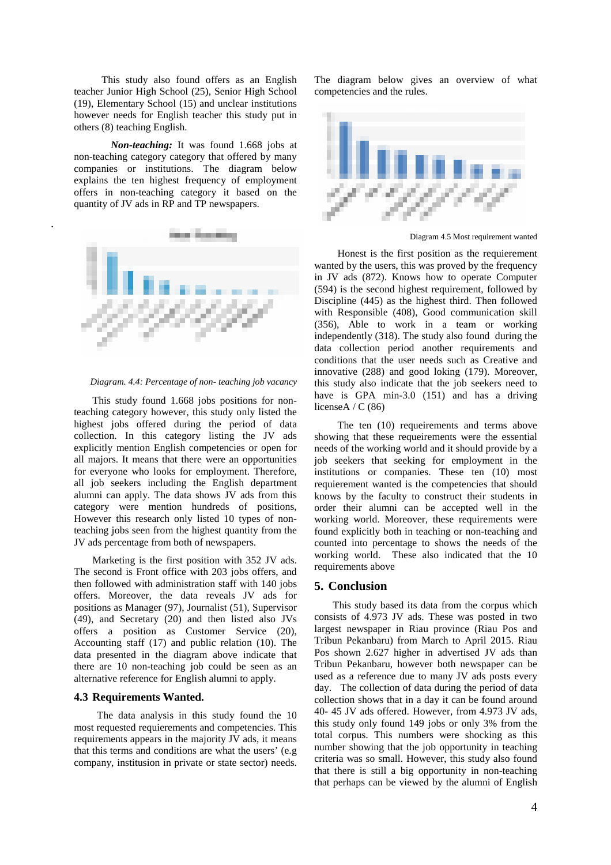This study also found offers as an English teacher Junior High School (25), Senior High School (19), Elementary School (15) and unclear institutions however needs for English teacher this study put in others (8) teaching English.

*Non-teaching:* It was found 1.668 jobs at non-teaching category category that offered by many companies or institutions. The diagram below explains the ten highest frequency of employment offers in non-teaching category it based on the quantity of JV ads in RP and TP newspapers.

.





This study found 1.668 jobs positions for nonteaching category however, this study only listed the highest jobs offered during the period of data collection. In this category listing the JV ads explicitly mention English competencies or open for all majors. It means that there were an opportunities for everyone who looks for employment. Therefore, all job seekers including the English department alumni can apply. The data shows JV ads from this category were mention hundreds of positions, However this research only listed 10 types of nonteaching jobs seen from the highest quantity from the JV ads percentage from both of newspapers.

Marketing is the first position with 352 JV ads. The second is Front office with 203 jobs offers, and then followed with administration staff with 140 jobs offers. Moreover, the data reveals JV ads for positions as Manager (97), Journalist (51), Supervisor (49), and Secretary (20) and then listed also JVs offers a position as Customer Service (20), Accounting staff (17) and public relation (10). The data presented in the diagram above indicate that there are 10 non-teaching job could be seen as an alternative reference for English alumni to apply.

#### **4.3 Requirements Wanted.**

The data analysis in this study found the 10 most requested requierements and competencies. This requirements appears in the majority JV ads, it means that this terms and conditions are what the users' (e.g company, institusion in private or state sector) needs.

The diagram below gives an overview of what competencies and the rules.



Diagram 4.5 Most requirement wanted

Honest is the first position as the requierement wanted by the users, this was proved by the frequency in JV ads (872). Knows how to operate Computer (594) is the second highest requirement, followed by Discipline (445) as the highest third. Then followed with Responsible (408), Good communication skill (356), Able to work in a team or working independently (318). The study also found during the data collection period another requirements and conditions that the user needs such as Creative and innovative (288) and good loking (179). Moreover, this study also indicate that the job seekers need to have is GPA min-3.0 (151) and has a driving licenseA / C (86)

The ten (10) requeirements and terms above showing that these requeirements were the essential needs of the working world and it should provide by a job seekers that seeking for employment in the institutions or companies. These ten (10) most requierement wanted is the competencies that should knows by the faculty to construct their students in order their alumni can be accepted well in the working world. Moreover, these requirements were found explicitly both in teaching or non-teaching and counted into percentage to shows the needs of the working world. These also indicated that the 10 requirements above

#### **5. Conclusion**

This study based its data from the corpus which consists of 4.973 JV ads. These was posted in two largest newspaper in Riau province (Riau Pos and Tribun Pekanbaru) from March to April 2015. Riau Pos shown 2.627 higher in advertised JV ads than Tribun Pekanbaru, however both newspaper can be used as a reference due to many JV ads posts every day. The collection of data during the period of data collection shows that in a day it can be found around 40- 45 JV ads offered. However, from 4.973 JV ads, this study only found 149 jobs or only 3% from the total corpus. This numbers were shocking as this number showing that the job opportunity in teaching criteria was so small. However, this study also found that there is still a big opportunity in non-teaching that perhaps can be viewed by the alumni of English